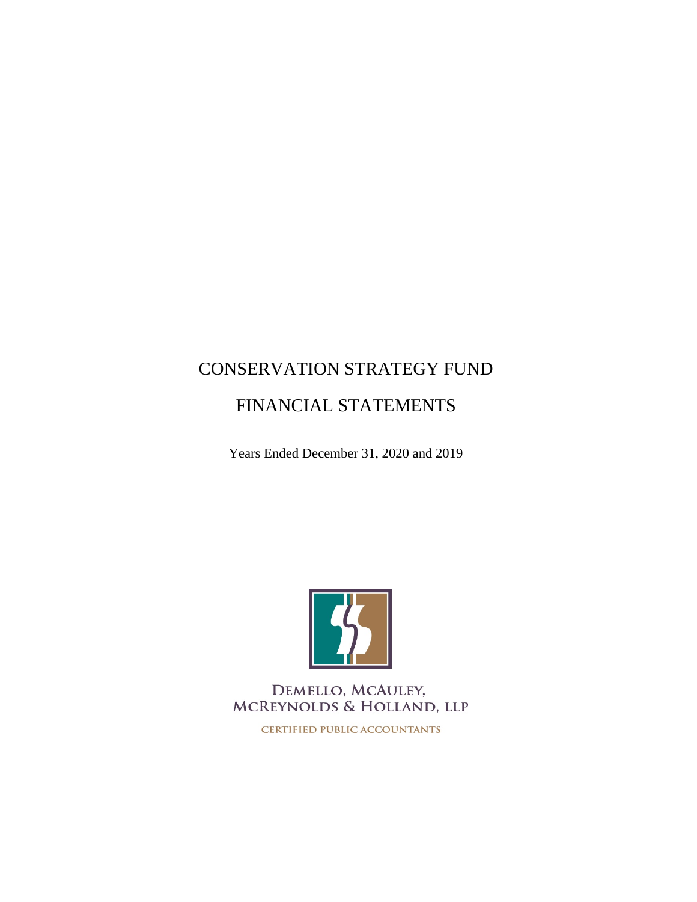# CONSERVATION STRATEGY FUND

## FINANCIAL STATEMENTS

Years Ended December 31, 2020 and 2019



**DEMELLO, MCAULEY,** MCREYNOLDS & HOLLAND, LLP

**CERTIFIED PUBLIC ACCOUNTANTS**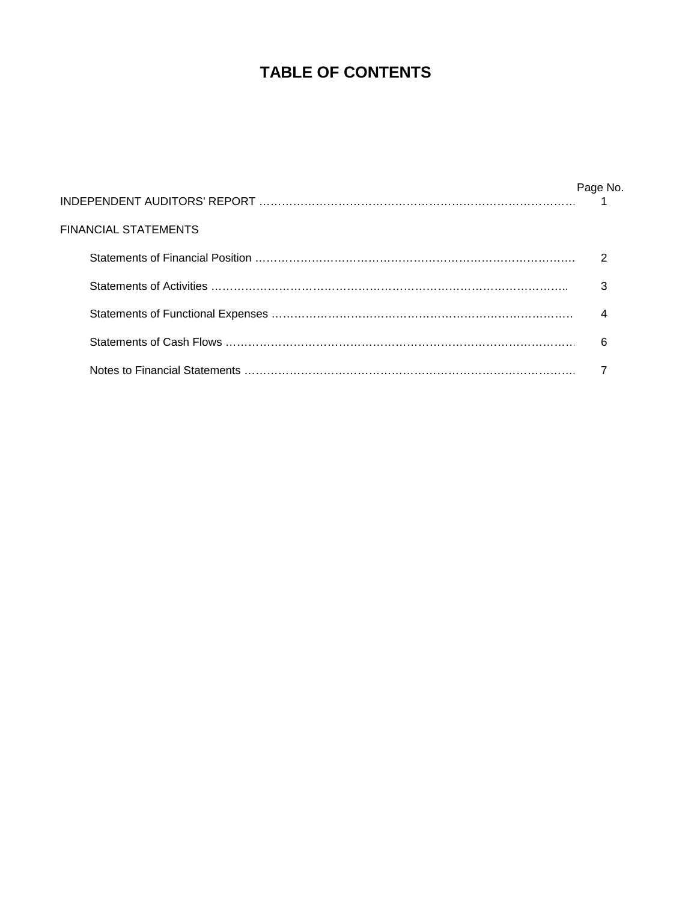## **TABLE OF CONTENTS**

|                             | Page No. |
|-----------------------------|----------|
|                             |          |
| <b>FINANCIAL STATEMENTS</b> |          |
|                             | 2        |
|                             | 3        |
|                             | 4        |
|                             | 6        |
|                             |          |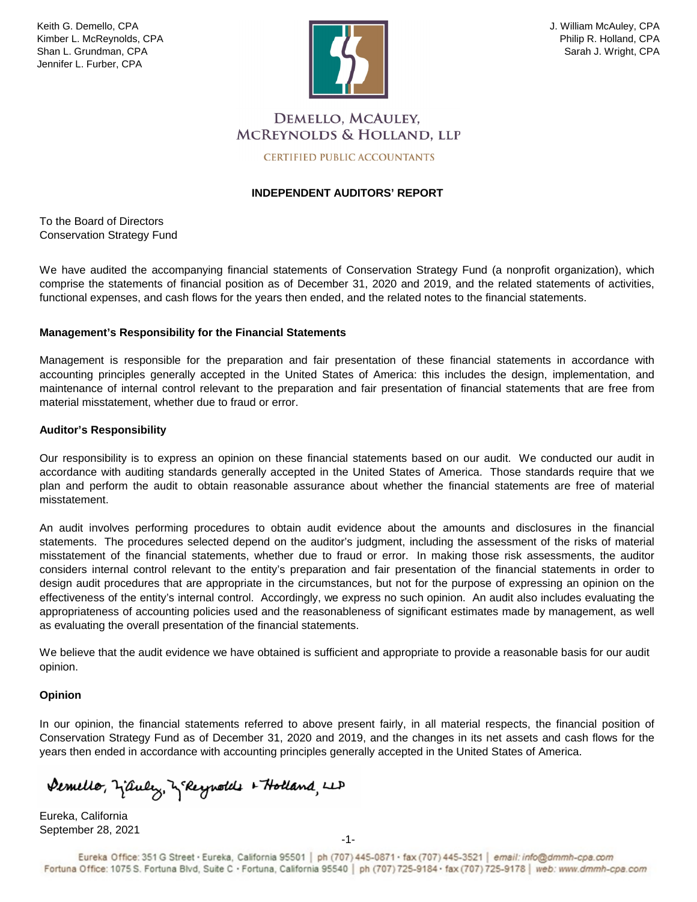Keith G. Demello, CPA Kimber L. McReynolds, CPA Shan L. Grundman, CPA Jennifer L. Furber, CPA



J. William McAuley, CPA Philip R. Holland, CPA Sarah J. Wright, CPA

## **DEMELLO, MCAULEY, MCREYNOLDS & HOLLAND, LLP**

#### **CERTIFIED PUBLIC ACCOUNTANTS**

## **INDEPENDENT AUDITORS' REPORT**

To the Board of Directors Conservation Strategy Fund

We have audited the accompanying financial statements of Conservation Strategy Fund (a nonprofit organization), which comprise the statements of financial position as of December 31, 2020 and 2019, and the related statements of activities, functional expenses, and cash flows for the years then ended, and the related notes to the financial statements.

### **Management's Responsibility for the Financial Statements**

Management is responsible for the preparation and fair presentation of these financial statements in accordance with accounting principles generally accepted in the United States of America: this includes the design, implementation, and maintenance of internal control relevant to the preparation and fair presentation of financial statements that are free from material misstatement, whether due to fraud or error.

### **Auditor's Responsibility**

Our responsibility is to express an opinion on these financial statements based on our audit. We conducted our audit in accordance with auditing standards generally accepted in the United States of America. Those standards require that we plan and perform the audit to obtain reasonable assurance about whether the financial statements are free of material misstatement.

An audit involves performing procedures to obtain audit evidence about the amounts and disclosures in the financial statements. The procedures selected depend on the auditor's judgment, including the assessment of the risks of material misstatement of the financial statements, whether due to fraud or error. In making those risk assessments, the auditor considers internal control relevant to the entity's preparation and fair presentation of the financial statements in order to design audit procedures that are appropriate in the circumstances, but not for the purpose of expressing an opinion on the effectiveness of the entity's internal control. Accordingly, we express no such opinion. An audit also includes evaluating the appropriateness of accounting policies used and the reasonableness of significant estimates made by management, as well as evaluating the overall presentation of the financial statements.

We believe that the audit evidence we have obtained is sufficient and appropriate to provide a reasonable basis for our audit opinion.

### **Opinion**

In our opinion, the financial statements referred to above present fairly, in all material respects, the financial position of Conservation Strategy Fund as of December 31, 2020 and 2019, and the changes in its net assets and cash flows for the years then ended in accordance with accounting principles generally accepted in the United States of America.

Demello, Z'auly, Z'Reynolds & Holland, LLD

Eureka, California September 28, 2021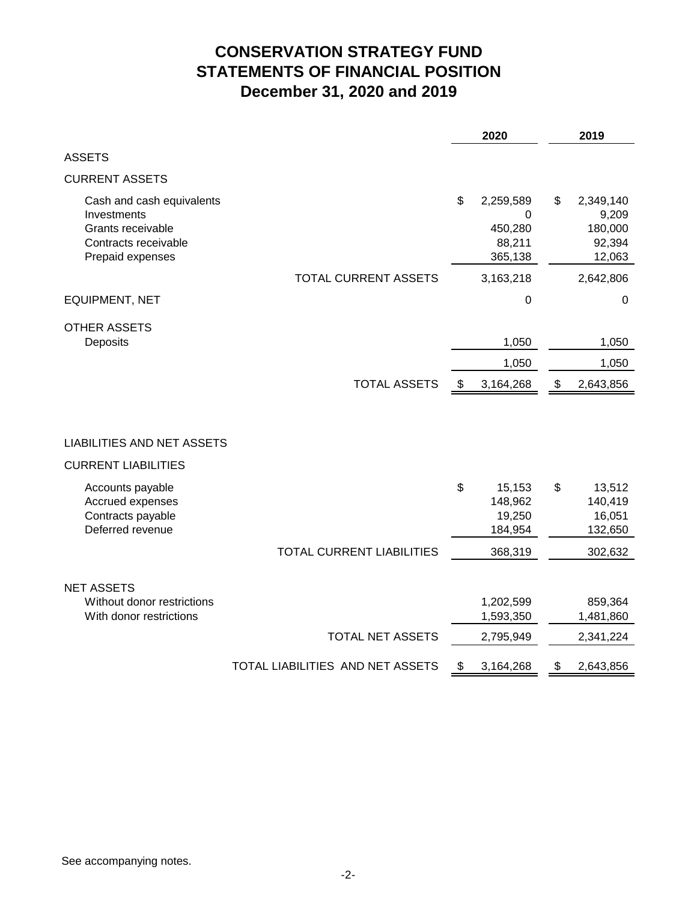## **CONSERVATION STRATEGY FUND STATEMENTS OF FINANCIAL POSITION December 31, 2020 and 2019**

|                                                                                                           |                                  |                           | 2020                                              | 2019                                                    |
|-----------------------------------------------------------------------------------------------------------|----------------------------------|---------------------------|---------------------------------------------------|---------------------------------------------------------|
| <b>ASSETS</b>                                                                                             |                                  |                           |                                                   |                                                         |
| <b>CURRENT ASSETS</b>                                                                                     |                                  |                           |                                                   |                                                         |
| Cash and cash equivalents<br>Investments<br>Grants receivable<br>Contracts receivable<br>Prepaid expenses |                                  | \$                        | 2,259,589<br>0<br>450,280<br>88,211<br>365,138    | \$<br>2,349,140<br>9,209<br>180,000<br>92,394<br>12,063 |
|                                                                                                           | <b>TOTAL CURRENT ASSETS</b>      |                           | 3,163,218                                         | 2,642,806                                               |
| <b>EQUIPMENT, NET</b>                                                                                     |                                  |                           | $\mathbf 0$                                       | 0                                                       |
| <b>OTHER ASSETS</b>                                                                                       |                                  |                           |                                                   |                                                         |
| Deposits                                                                                                  |                                  |                           | 1,050                                             | 1,050                                                   |
|                                                                                                           |                                  |                           | 1,050                                             | 1,050                                                   |
|                                                                                                           | <b>TOTAL ASSETS</b>              | $\boldsymbol{\mathsf{S}}$ | 3,164,268                                         | \$<br>2,643,856                                         |
| <b>LIABILITIES AND NET ASSETS</b><br><b>CURRENT LIABILITIES</b>                                           |                                  |                           |                                                   |                                                         |
| Accounts payable<br>Accrued expenses<br>Contracts payable<br>Deferred revenue                             | <b>TOTAL CURRENT LIABILITIES</b> | \$                        | 15,153<br>148,962<br>19,250<br>184,954<br>368,319 | \$<br>13,512<br>140,419<br>16,051<br>132,650<br>302,632 |
|                                                                                                           |                                  |                           |                                                   |                                                         |
| <b>NET ASSETS</b><br>Without donor restrictions<br>With donor restrictions                                |                                  |                           | 1,202,599<br>1,593,350                            | 859,364<br>1,481,860                                    |
|                                                                                                           | <b>TOTAL NET ASSETS</b>          |                           | 2,795,949                                         | 2,341,224                                               |
|                                                                                                           | TOTAL LIABILITIES AND NET ASSETS | \$                        | 3,164,268                                         | \$<br>2,643,856                                         |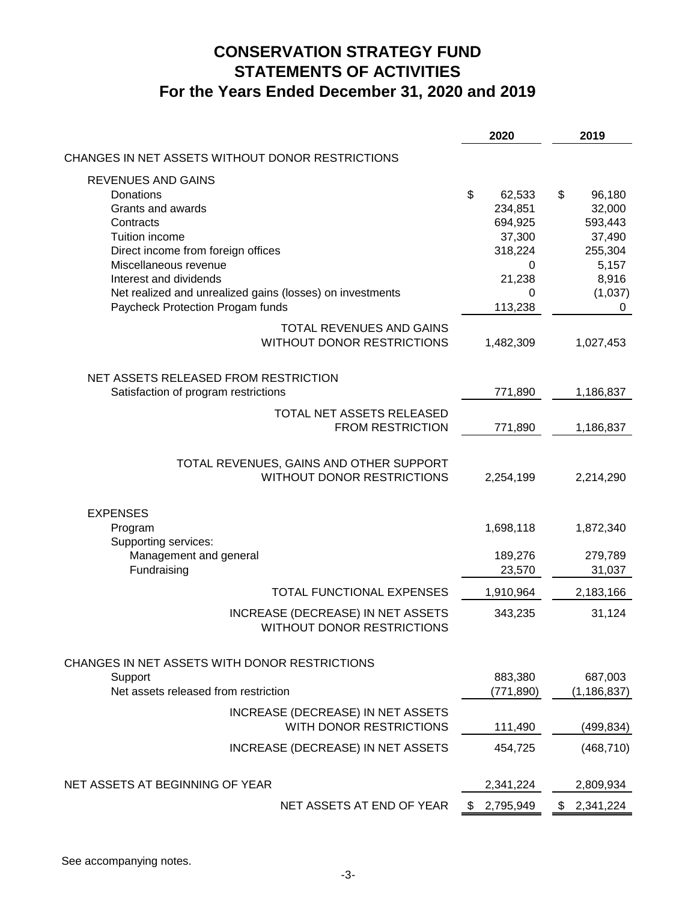## **CONSERVATION STRATEGY FUND STATEMENTS OF ACTIVITIES For the Years Ended December 31, 2020 and 2019**

|                                                                        | 2020            | 2019          |
|------------------------------------------------------------------------|-----------------|---------------|
| CHANGES IN NET ASSETS WITHOUT DONOR RESTRICTIONS                       |                 |               |
| <b>REVENUES AND GAINS</b>                                              |                 |               |
| Donations                                                              | \$<br>62,533    | \$<br>96,180  |
| Grants and awards                                                      | 234,851         | 32,000        |
| Contracts                                                              | 694,925         | 593,443       |
| Tuition income                                                         | 37,300          | 37,490        |
| Direct income from foreign offices                                     | 318,224         | 255,304       |
| Miscellaneous revenue                                                  | 0               | 5,157         |
| Interest and dividends                                                 | 21,238          | 8,916         |
| Net realized and unrealized gains (losses) on investments              | 0               | (1,037)       |
| Paycheck Protection Progam funds                                       | 113,238         | 0             |
| <b>TOTAL REVENUES AND GAINS</b>                                        |                 |               |
| <b>WITHOUT DONOR RESTRICTIONS</b>                                      | 1,482,309       | 1,027,453     |
| NET ASSETS RELEASED FROM RESTRICTION                                   |                 |               |
| Satisfaction of program restrictions                                   | 771,890         | 1,186,837     |
| TOTAL NET ASSETS RELEASED                                              |                 |               |
| <b>FROM RESTRICTION</b>                                                | 771,890         | 1,186,837     |
| TOTAL REVENUES, GAINS AND OTHER SUPPORT                                |                 |               |
| <b>WITHOUT DONOR RESTRICTIONS</b>                                      | 2,254,199       | 2,214,290     |
| <b>EXPENSES</b>                                                        |                 |               |
| Program                                                                | 1,698,118       | 1,872,340     |
| Supporting services:                                                   |                 |               |
| Management and general                                                 | 189,276         | 279,789       |
| Fundraising                                                            | 23,570          | 31,037        |
| TOTAL FUNCTIONAL EXPENSES                                              | 1,910,964       | 2,183,166     |
| INCREASE (DECREASE) IN NET ASSETS<br><b>WITHOUT DONOR RESTRICTIONS</b> | 343,235         | 31,124        |
| CHANGES IN NET ASSETS WITH DONOR RESTRICTIONS                          |                 |               |
| Support                                                                | 883,380         | 687,003       |
| Net assets released from restriction                                   | (771, 890)      | (1, 186, 837) |
| INCREASE (DECREASE) IN NET ASSETS<br><b>WITH DONOR RESTRICTIONS</b>    | 111,490         | (499,834)     |
| INCREASE (DECREASE) IN NET ASSETS                                      | 454,725         | (468, 710)    |
| NET ASSETS AT BEGINNING OF YEAR                                        | 2,341,224       | 2,809,934     |
|                                                                        |                 |               |
| NET ASSETS AT END OF YEAR                                              | 2,795,949<br>\$ | \$2,341,224   |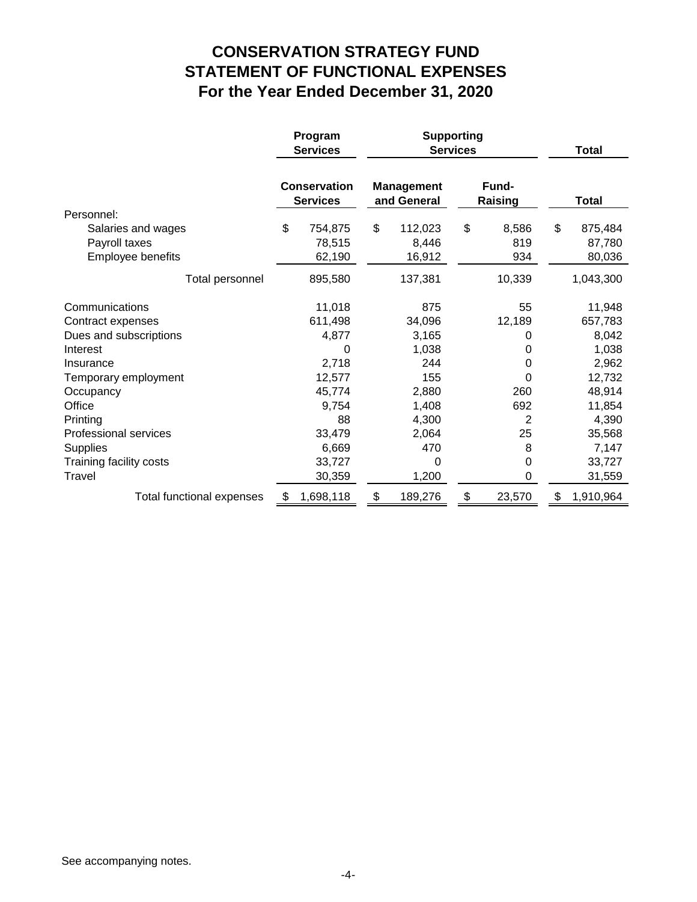## **CONSERVATION STRATEGY FUND STATEMENT OF FUNCTIONAL EXPENSES For the Year Ended December 31, 2020**

|                              | Program<br><b>Services</b>             |           | <b>Supporting</b><br><b>Services</b> |         |                  |                | <b>Total</b>    |
|------------------------------|----------------------------------------|-----------|--------------------------------------|---------|------------------|----------------|-----------------|
|                              | <b>Conservation</b><br><b>Services</b> |           | <b>Management</b><br>and General     |         | Fund-<br>Raising |                | <b>Total</b>    |
| Personnel:                   |                                        |           |                                      |         |                  |                |                 |
| Salaries and wages           | \$                                     | 754,875   | \$                                   | 112,023 | \$               | 8,586          | \$<br>875,484   |
| Payroll taxes                |                                        | 78,515    |                                      | 8,446   |                  | 819            | 87,780          |
| Employee benefits            |                                        | 62,190    |                                      | 16,912  |                  | 934            | 80,036          |
| Total personnel              |                                        | 895,580   |                                      | 137,381 |                  | 10,339         | 1,043,300       |
| Communications               |                                        | 11,018    |                                      | 875     |                  | 55             | 11,948          |
| Contract expenses            |                                        | 611,498   |                                      | 34,096  |                  | 12,189         | 657,783         |
| Dues and subscriptions       |                                        | 4,877     |                                      | 3,165   |                  | 0              | 8,042           |
| Interest                     |                                        | 0         |                                      | 1,038   |                  | 0              | 1,038           |
| Insurance                    |                                        | 2,718     |                                      | 244     |                  | 0              | 2,962           |
| Temporary employment         |                                        | 12,577    |                                      | 155     |                  | 0              | 12,732          |
| Occupancy                    |                                        | 45,774    |                                      | 2,880   |                  | 260            | 48,914          |
| Office                       |                                        | 9,754     |                                      | 1,408   |                  | 692            | 11,854          |
| Printing                     |                                        | 88        |                                      | 4,300   |                  | $\overline{2}$ | 4,390           |
| <b>Professional services</b> |                                        | 33,479    |                                      | 2,064   |                  | 25             | 35,568          |
| <b>Supplies</b>              |                                        | 6,669     |                                      | 470     |                  | 8              | 7,147           |
| Training facility costs      |                                        | 33,727    |                                      | 0       |                  | 0              | 33,727          |
| Travel                       |                                        | 30,359    |                                      | 1,200   |                  | $\Omega$       | 31,559          |
| Total functional expenses    | \$.                                    | 1,698,118 | \$                                   | 189,276 | \$               | 23,570         | \$<br>1,910,964 |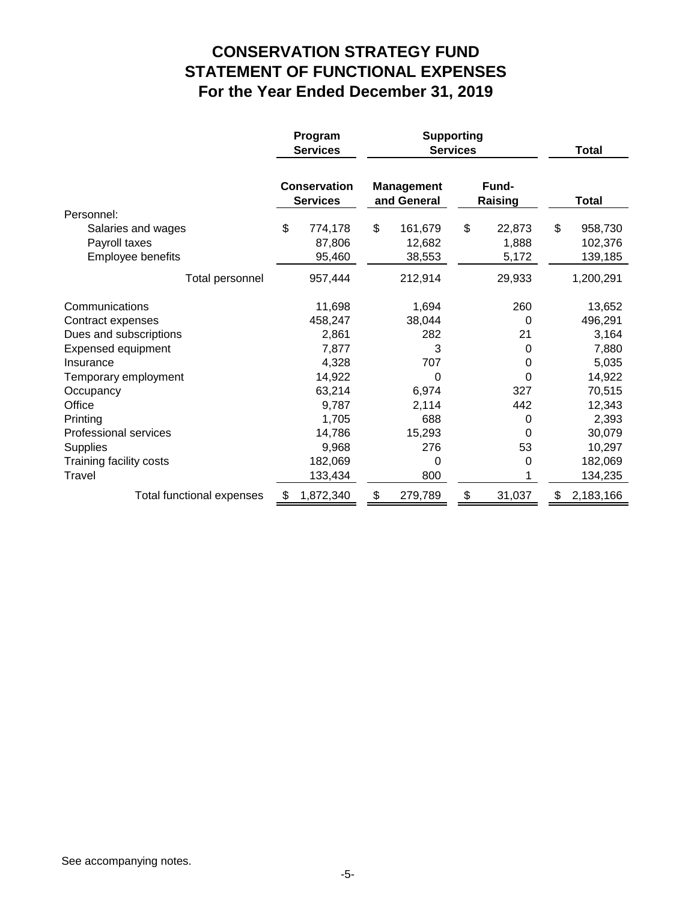## **CONSERVATION STRATEGY FUND STATEMENT OF FUNCTIONAL EXPENSES For the Year Ended December 31, 2019**

|                              | Program<br><b>Services</b> |                                        | <b>Supporting</b><br><b>Services</b> |                                  |    |                  | <b>Total</b>    |
|------------------------------|----------------------------|----------------------------------------|--------------------------------------|----------------------------------|----|------------------|-----------------|
|                              |                            | <b>Conservation</b><br><b>Services</b> |                                      | <b>Management</b><br>and General |    | Fund-<br>Raising | <b>Total</b>    |
| Personnel:                   |                            |                                        |                                      |                                  |    |                  |                 |
| Salaries and wages           | \$                         | 774,178                                | \$                                   | 161,679                          | \$ | 22,873           | \$<br>958,730   |
| Payroll taxes                |                            | 87,806                                 |                                      | 12,682                           |    | 1,888            | 102,376         |
| Employee benefits            |                            | 95,460                                 |                                      | 38,553                           |    | 5,172            | 139,185         |
| Total personnel              |                            | 957,444                                |                                      | 212,914                          |    | 29,933           | 1,200,291       |
| Communications               |                            | 11,698                                 |                                      | 1,694                            |    | 260              | 13,652          |
| Contract expenses            |                            | 458,247                                |                                      | 38,044                           |    | 0                | 496,291         |
| Dues and subscriptions       |                            | 2,861                                  |                                      | 282                              |    | 21               | 3,164           |
| <b>Expensed equipment</b>    |                            | 7,877                                  |                                      | 3                                |    | 0                | 7,880           |
| Insurance                    |                            | 4,328                                  |                                      | 707                              |    | 0                | 5,035           |
| Temporary employment         |                            | 14,922                                 |                                      | 0                                |    | 0                | 14,922          |
| Occupancy                    |                            | 63,214                                 |                                      | 6,974                            |    | 327              | 70,515          |
| Office                       |                            | 9,787                                  |                                      | 2,114                            |    | 442              | 12,343          |
| Printing                     |                            | 1,705                                  |                                      | 688                              |    | 0                | 2,393           |
| <b>Professional services</b> |                            | 14,786                                 |                                      | 15,293                           |    | 0                | 30,079          |
| <b>Supplies</b>              |                            | 9,968                                  |                                      | 276                              |    | 53               | 10,297          |
| Training facility costs      |                            | 182,069                                |                                      | 0                                |    | 0                | 182,069         |
| Travel                       |                            | 133,434                                |                                      | 800                              |    |                  | 134,235         |
| Total functional expenses    | \$.                        | 1,872,340                              | \$                                   | 279,789                          | \$ | 31,037           | \$<br>2,183,166 |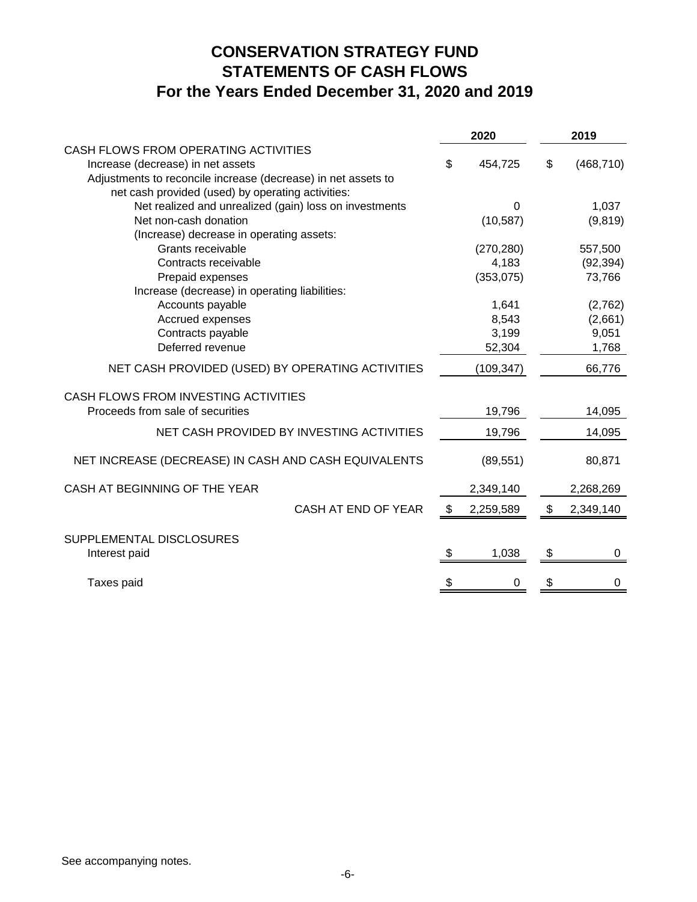## **CONSERVATION STRATEGY FUND STATEMENTS OF CASH FLOWS For the Years Ended December 31, 2020 and 2019**

|                                                                   | 2020            | 2019 |                     |  |
|-------------------------------------------------------------------|-----------------|------|---------------------|--|
| CASH FLOWS FROM OPERATING ACTIVITIES                              |                 |      |                     |  |
| Increase (decrease) in net assets                                 | \$<br>454,725   | \$   | (468, 710)          |  |
| Adjustments to reconcile increase (decrease) in net assets to     |                 |      |                     |  |
| net cash provided (used) by operating activities:                 |                 |      |                     |  |
| Net realized and unrealized (gain) loss on investments            | 0               |      | 1,037               |  |
| Net non-cash donation                                             | (10, 587)       |      | (9,819)             |  |
| (Increase) decrease in operating assets:                          |                 |      |                     |  |
| Grants receivable<br>Contracts receivable                         | (270, 280)      |      | 557,500             |  |
|                                                                   | 4,183           |      | (92, 394)<br>73,766 |  |
| Prepaid expenses<br>Increase (decrease) in operating liabilities: | (353,075)       |      |                     |  |
| Accounts payable                                                  | 1,641           |      | (2,762)             |  |
| Accrued expenses                                                  | 8,543           |      | (2,661)             |  |
| Contracts payable                                                 | 3,199           |      | 9,051               |  |
| Deferred revenue                                                  | 52,304          |      | 1,768               |  |
| NET CASH PROVIDED (USED) BY OPERATING ACTIVITIES                  | (109, 347)      |      | 66,776              |  |
| CASH FLOWS FROM INVESTING ACTIVITIES                              |                 |      |                     |  |
| Proceeds from sale of securities                                  | 19,796          |      | 14,095              |  |
| NET CASH PROVIDED BY INVESTING ACTIVITIES                         | 19,796          |      | 14,095              |  |
|                                                                   |                 |      |                     |  |
| NET INCREASE (DECREASE) IN CASH AND CASH EQUIVALENTS              | (89, 551)       |      | 80,871              |  |
| CASH AT BEGINNING OF THE YEAR                                     | 2,349,140       |      | 2,268,269           |  |
| CASH AT END OF YEAR                                               | \$<br>2,259,589 | \$   | 2,349,140           |  |
| SUPPLEMENTAL DISCLOSURES                                          |                 |      |                     |  |
| Interest paid                                                     | 1,038           | \$   | 0                   |  |
|                                                                   |                 |      |                     |  |
| Taxes paid                                                        | \$<br>0         | \$   | 0                   |  |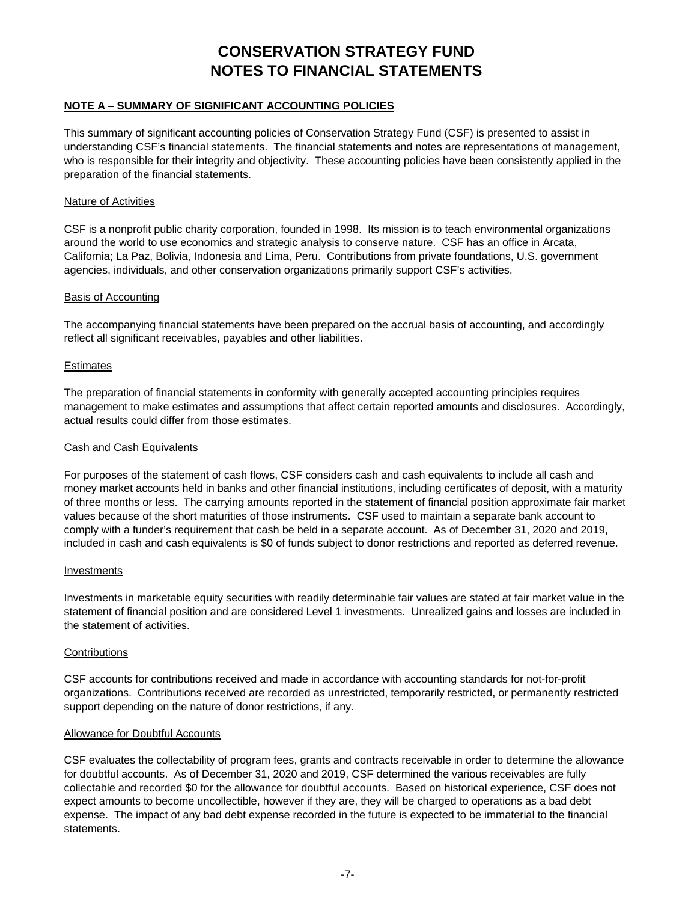## **NOTE A – SUMMARY OF SIGNIFICANT ACCOUNTING POLICIES**

This summary of significant accounting policies of Conservation Strategy Fund (CSF) is presented to assist in understanding CSF's financial statements. The financial statements and notes are representations of management, who is responsible for their integrity and objectivity. These accounting policies have been consistently applied in the preparation of the financial statements.

#### Nature of Activities

CSF is a nonprofit public charity corporation, founded in 1998. Its mission is to teach environmental organizations around the world to use economics and strategic analysis to conserve nature. CSF has an office in Arcata, California; La Paz, Bolivia, Indonesia and Lima, Peru. Contributions from private foundations, U.S. government agencies, individuals, and other conservation organizations primarily support CSF's activities.

#### Basis of Accounting

The accompanying financial statements have been prepared on the accrual basis of accounting, and accordingly reflect all significant receivables, payables and other liabilities.

#### **Estimates**

The preparation of financial statements in conformity with generally accepted accounting principles requires management to make estimates and assumptions that affect certain reported amounts and disclosures. Accordingly, actual results could differ from those estimates.

#### Cash and Cash Equivalents

For purposes of the statement of cash flows, CSF considers cash and cash equivalents to include all cash and money market accounts held in banks and other financial institutions, including certificates of deposit, with a maturity of three months or less. The carrying amounts reported in the statement of financial position approximate fair market values because of the short maturities of those instruments. CSF used to maintain a separate bank account to comply with a funder's requirement that cash be held in a separate account. As of December 31, 2020 and 2019, included in cash and cash equivalents is \$0 of funds subject to donor restrictions and reported as deferred revenue.

#### **Investments**

Investments in marketable equity securities with readily determinable fair values are stated at fair market value in the statement of financial position and are considered Level 1 investments. Unrealized gains and losses are included in the statement of activities.

### **Contributions**

CSF accounts for contributions received and made in accordance with accounting standards for not-for-profit organizations. Contributions received are recorded as unrestricted, temporarily restricted, or permanently restricted support depending on the nature of donor restrictions, if any.

#### Allowance for Doubtful Accounts

CSF evaluates the collectability of program fees, grants and contracts receivable in order to determine the allowance for doubtful accounts. As of December 31, 2020 and 2019, CSF determined the various receivables are fully collectable and recorded \$0 for the allowance for doubtful accounts. Based on historical experience, CSF does not expect amounts to become uncollectible, however if they are, they will be charged to operations as a bad debt expense. The impact of any bad debt expense recorded in the future is expected to be immaterial to the financial statements.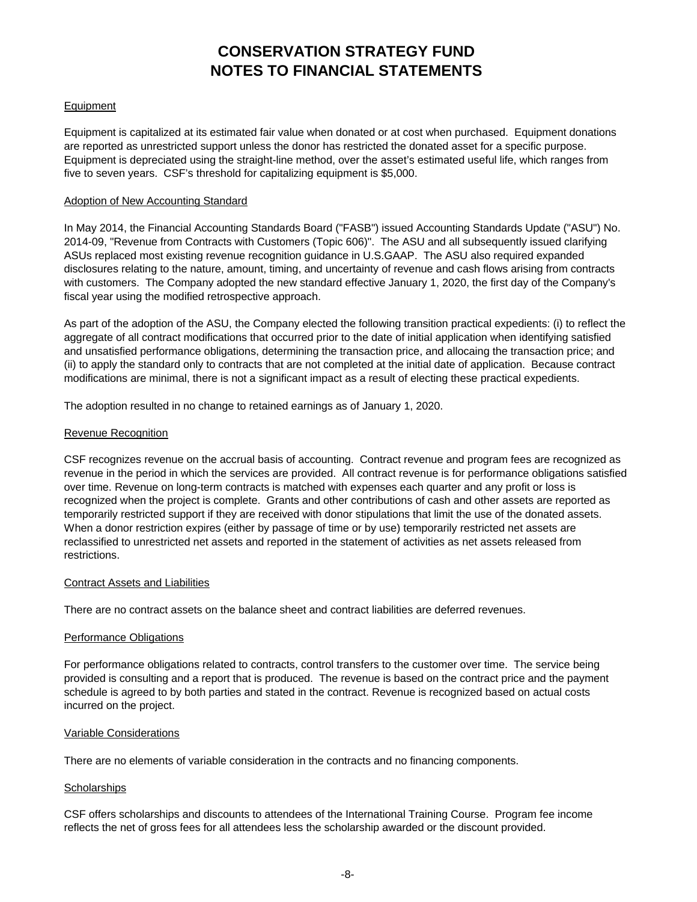## **Equipment**

Equipment is capitalized at its estimated fair value when donated or at cost when purchased. Equipment donations are reported as unrestricted support unless the donor has restricted the donated asset for a specific purpose. Equipment is depreciated using the straight-line method, over the asset's estimated useful life, which ranges from five to seven years. CSF's threshold for capitalizing equipment is \$5,000.

### Adoption of New Accounting Standard

In May 2014, the Financial Accounting Standards Board ("FASB") issued Accounting Standards Update ("ASU") No. 2014-09, "Revenue from Contracts with Customers (Topic 606)". The ASU and all subsequently issued clarifying ASUs replaced most existing revenue recognition guidance in U.S.GAAP. The ASU also required expanded disclosures relating to the nature, amount, timing, and uncertainty of revenue and cash flows arising from contracts with customers. The Company adopted the new standard effective January 1, 2020, the first day of the Company's fiscal year using the modified retrospective approach.

As part of the adoption of the ASU, the Company elected the following transition practical expedients: (i) to reflect the aggregate of all contract modifications that occurred prior to the date of initial application when identifying satisfied and unsatisfied performance obligations, determining the transaction price, and allocaing the transaction price; and (ii) to apply the standard only to contracts that are not completed at the initial date of application. Because contract modifications are minimal, there is not a significant impact as a result of electing these practical expedients.

The adoption resulted in no change to retained earnings as of January 1, 2020.

#### Revenue Recognition

CSF recognizes revenue on the accrual basis of accounting. Contract revenue and program fees are recognized as revenue in the period in which the services are provided. All contract revenue is for performance obligations satisfied over time. Revenue on long-term contracts is matched with expenses each quarter and any profit or loss is recognized when the project is complete. Grants and other contributions of cash and other assets are reported as temporarily restricted support if they are received with donor stipulations that limit the use of the donated assets. When a donor restriction expires (either by passage of time or by use) temporarily restricted net assets are reclassified to unrestricted net assets and reported in the statement of activities as net assets released from restrictions.

### Contract Assets and Liabilities

There are no contract assets on the balance sheet and contract liabilities are deferred revenues.

#### Performance Obligations

For performance obligations related to contracts, control transfers to the customer over time. The service being provided is consulting and a report that is produced. The revenue is based on the contract price and the payment schedule is agreed to by both parties and stated in the contract. Revenue is recognized based on actual costs incurred on the project.

#### Variable Considerations

There are no elements of variable consideration in the contracts and no financing components.

#### **Scholarships**

CSF offers scholarships and discounts to attendees of the International Training Course. Program fee income reflects the net of gross fees for all attendees less the scholarship awarded or the discount provided.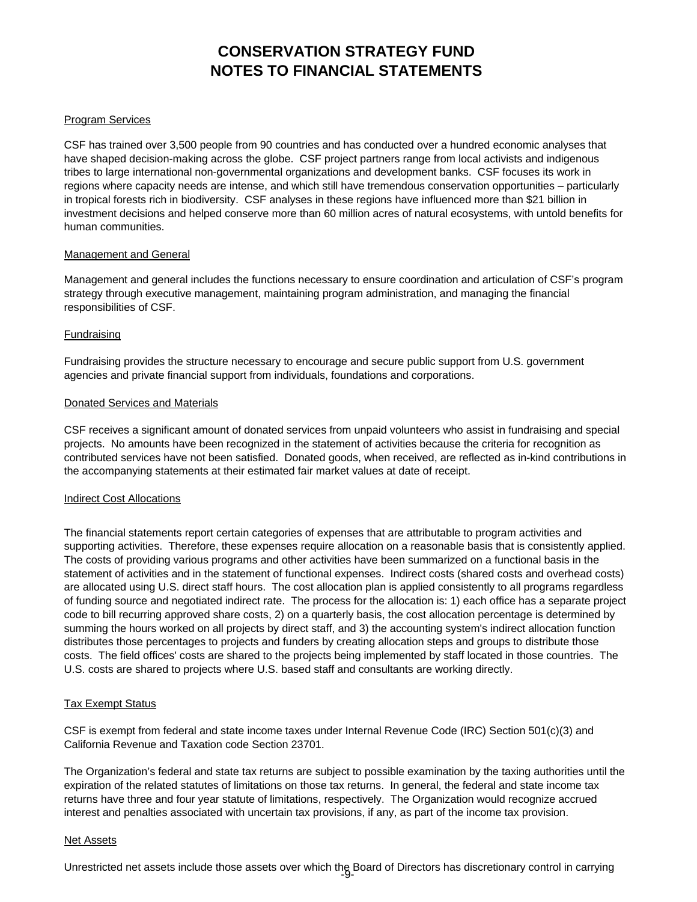## Program Services

CSF has trained over 3,500 people from 90 countries and has conducted over a hundred economic analyses that have shaped decision-making across the globe. CSF project partners range from local activists and indigenous tribes to large international non-governmental organizations and development banks. CSF focuses its work in regions where capacity needs are intense, and which still have tremendous conservation opportunities – particularly in tropical forests rich in biodiversity. CSF analyses in these regions have influenced more than \$21 billion in investment decisions and helped conserve more than 60 million acres of natural ecosystems, with untold benefits for human communities.

### Management and General

Management and general includes the functions necessary to ensure coordination and articulation of CSF's program strategy through executive management, maintaining program administration, and managing the financial responsibilities of CSF.

### Fundraising

Fundraising provides the structure necessary to encourage and secure public support from U.S. government agencies and private financial support from individuals, foundations and corporations.

#### Donated Services and Materials

CSF receives a significant amount of donated services from unpaid volunteers who assist in fundraising and special projects. No amounts have been recognized in the statement of activities because the criteria for recognition as contributed services have not been satisfied. Donated goods, when received, are reflected as in-kind contributions in the accompanying statements at their estimated fair market values at date of receipt.

### Indirect Cost Allocations

The financial statements report certain categories of expenses that are attributable to program activities and supporting activities. Therefore, these expenses require allocation on a reasonable basis that is consistently applied. The costs of providing various programs and other activities have been summarized on a functional basis in the statement of activities and in the statement of functional expenses. Indirect costs (shared costs and overhead costs) are allocated using U.S. direct staff hours. The cost allocation plan is applied consistently to all programs regardless of funding source and negotiated indirect rate. The process for the allocation is: 1) each office has a separate project code to bill recurring approved share costs, 2) on a quarterly basis, the cost allocation percentage is determined by summing the hours worked on all projects by direct staff, and 3) the accounting system's indirect allocation function distributes those percentages to projects and funders by creating allocation steps and groups to distribute those costs. The field offices' costs are shared to the projects being implemented by staff located in those countries. The U.S. costs are shared to projects where U.S. based staff and consultants are working directly.

### Tax Exempt Status

CSF is exempt from federal and state income taxes under Internal Revenue Code (IRC) Section 501(c)(3) and California Revenue and Taxation code Section 23701.

The Organization's federal and state tax returns are subject to possible examination by the taxing authorities until the expiration of the related statutes of limitations on those tax returns. In general, the federal and state income tax returns have three and four year statute of limitations, respectively. The Organization would recognize accrued interest and penalties associated with uncertain tax provisions, if any, as part of the income tax provision.

#### Net Assets

Unrestricted net assets include those assets over which the Board of Directors has discretionary control in carrying  $\overline{\mathcal{O}}$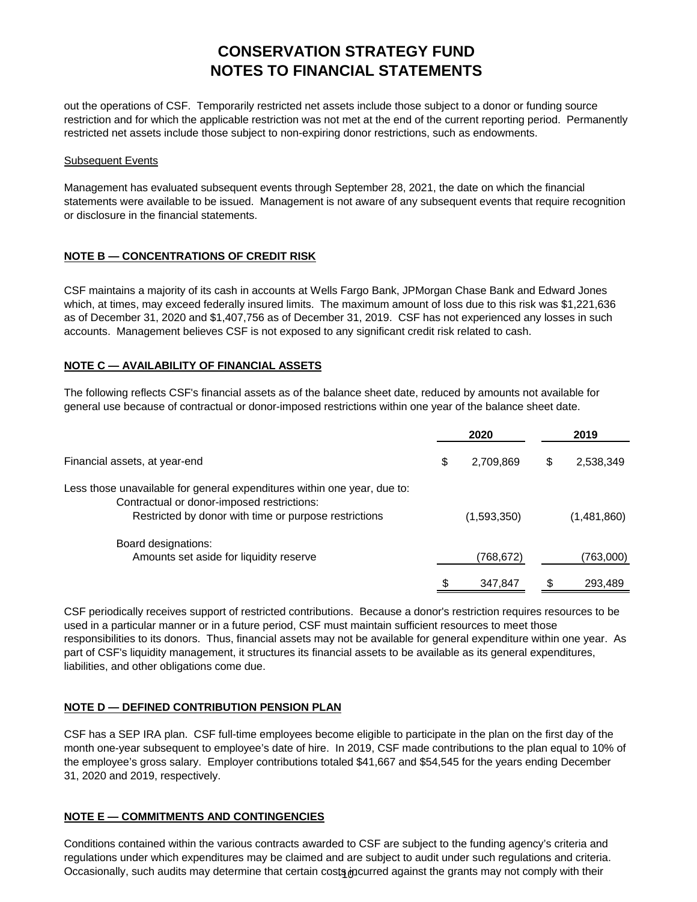out the operations of CSF. Temporarily restricted net assets include those subject to a donor or funding source restriction and for which the applicable restriction was not met at the end of the current reporting period. Permanently restricted net assets include those subject to non-expiring donor restrictions, such as endowments.

#### **Subsequent Events**

Management has evaluated subsequent events through September 28, 2021, the date on which the financial statements were available to be issued. Management is not aware of any subsequent events that require recognition or disclosure in the financial statements.

## **NOTE B — CONCENTRATIONS OF CREDIT RISK**

CSF maintains a majority of its cash in accounts at Wells Fargo Bank, JPMorgan Chase Bank and Edward Jones which, at times, may exceed federally insured limits. The maximum amount of loss due to this risk was \$1,221,636 as of December 31, 2020 and \$1,407,756 as of December 31, 2019. CSF has not experienced any losses in such accounts. Management believes CSF is not exposed to any significant credit risk related to cash.

## **NOTE C — AVAILABILITY OF FINANCIAL ASSETS**

The following reflects CSF's financial assets as of the balance sheet date, reduced by amounts not available for general use because of contractual or donor-imposed restrictions within one year of the balance sheet date.

|                                                                          | 2020            | 2019            |
|--------------------------------------------------------------------------|-----------------|-----------------|
| Financial assets, at year-end                                            | \$<br>2,709,869 | \$<br>2,538,349 |
| Less those unavailable for general expenditures within one year, due to: |                 |                 |
| Contractual or donor-imposed restrictions:                               |                 |                 |
| Restricted by donor with time or purpose restrictions                    | (1,593,350)     | (1,481,860)     |
| Board designations:                                                      |                 |                 |
| Amounts set aside for liquidity reserve                                  | (768,672)       | (763,000)       |
|                                                                          | 347,847         | 293,489         |
|                                                                          |                 |                 |

CSF periodically receives support of restricted contributions. Because a donor's restriction requires resources to be used in a particular manner or in a future period, CSF must maintain sufficient resources to meet those responsibilities to its donors. Thus, financial assets may not be available for general expenditure within one year. As part of CSF's liquidity management, it structures its financial assets to be available as its general expenditures, liabilities, and other obligations come due.

### **NOTE D — DEFINED CONTRIBUTION PENSION PLAN**

CSF has a SEP IRA plan. CSF full-time employees become eligible to participate in the plan on the first day of the month one-year subsequent to employee's date of hire. In 2019, CSF made contributions to the plan equal to 10% of the employee's gross salary. Employer contributions totaled \$41,667 and \$54,545 for the years ending December 31, 2020 and 2019, respectively.

## **NOTE E — COMMITMENTS AND CONTINGENCIES**

Conditions contained within the various contracts awarded to CSF are subject to the funding agency's criteria and regulations under which expenditures may be claimed and are subject to audit under such regulations and criteria. Occasionally, such audits may determine that certain costą mcurred against the grants may not comply with their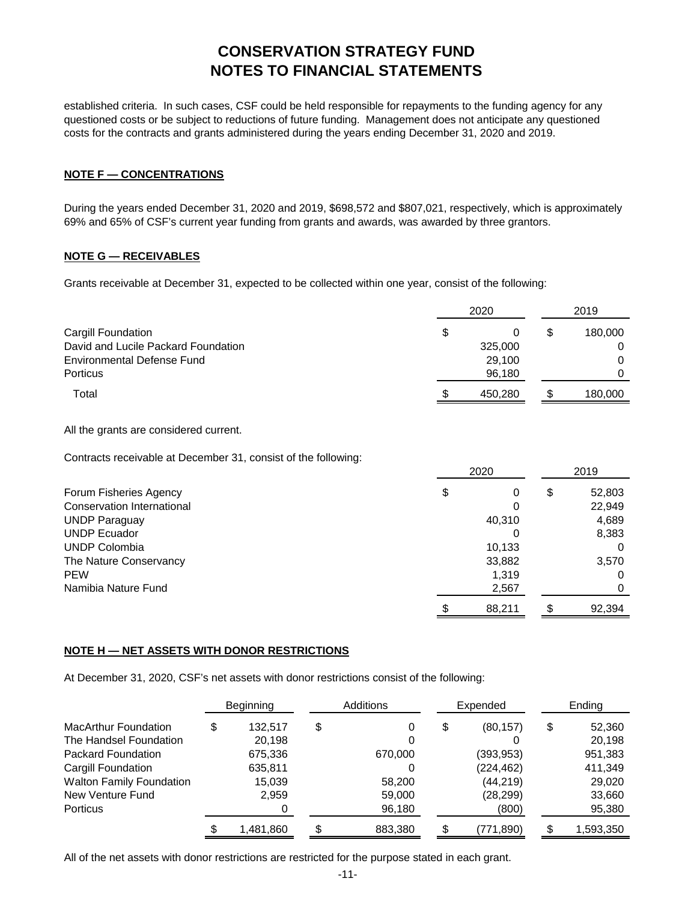established criteria. In such cases, CSF could be held responsible for repayments to the funding agency for any questioned costs or be subject to reductions of future funding. Management does not anticipate any questioned costs for the contracts and grants administered during the years ending December 31, 2020 and 2019.

## **NOTE F — CONCENTRATIONS**

During the years ended December 31, 2020 and 2019, \$698,572 and \$807,021, respectively, which is approximately 69% and 65% of CSF's current year funding from grants and awards, was awarded by three grantors.

## **NOTE G — RECEIVABLES**

Grants receivable at December 31, expected to be collected within one year, consist of the following:

|                                     | 2020 |         |  | 2019    |
|-------------------------------------|------|---------|--|---------|
| Cargill Foundation                  | \$   |         |  | 180,000 |
| David and Lucile Packard Foundation |      | 325,000 |  |         |
| <b>Environmental Defense Fund</b>   |      | 29.100  |  |         |
| <b>Porticus</b>                     |      | 96,180  |  |         |
| Total                               | S    | 450.280 |  | 180,000 |

All the grants are considered current.

Contracts receivable at December 31, consist of the following:

|                            | 2020 |        | 2019 |        |
|----------------------------|------|--------|------|--------|
| Forum Fisheries Agency     | \$   | 0      | \$   | 52,803 |
| Conservation International |      | 0      |      | 22,949 |
| <b>UNDP Paraguay</b>       |      | 40,310 |      | 4,689  |
| <b>UNDP Ecuador</b>        |      |        |      | 8,383  |
| <b>UNDP Colombia</b>       |      | 10,133 |      | 0      |
| The Nature Conservancy     |      | 33,882 |      | 3,570  |
| <b>PEW</b>                 |      | 1,319  |      | 0      |
| Namibia Nature Fund        |      | 2,567  |      | 0      |
|                            |      | 88,211 |      | 92,394 |

### **NOTE H — NET ASSETS WITH DONOR RESTRICTIONS**

At December 31, 2020, CSF's net assets with donor restrictions consist of the following:

|                                 | Beginning |           | Additions |         | Expended |           | Ending |           |
|---------------------------------|-----------|-----------|-----------|---------|----------|-----------|--------|-----------|
| <b>MacArthur Foundation</b>     | \$        | 132.517   | \$        | 0       | \$       | (80, 157) | \$     | 52,360    |
| The Handsel Foundation          |           | 20.198    |           | 0       |          |           |        | 20.198    |
| Packard Foundation              |           | 675,336   |           | 670,000 |          | (393,953) |        | 951,383   |
| Cargill Foundation              |           | 635,811   |           |         |          | (224,462) |        | 411,349   |
| <b>Walton Family Foundation</b> |           | 15,039    |           | 58,200  |          | (44, 219) |        | 29,020    |
| New Venture Fund                |           | 2,959     |           | 59,000  |          | (28, 299) |        | 33,660    |
| <b>Porticus</b>                 |           |           |           | 96,180  |          | (800)     |        | 95,380    |
|                                 |           | 1,481,860 |           | 883,380 | S.       | (771,890) |        | 1,593,350 |

All of the net assets with donor restrictions are restricted for the purpose stated in each grant.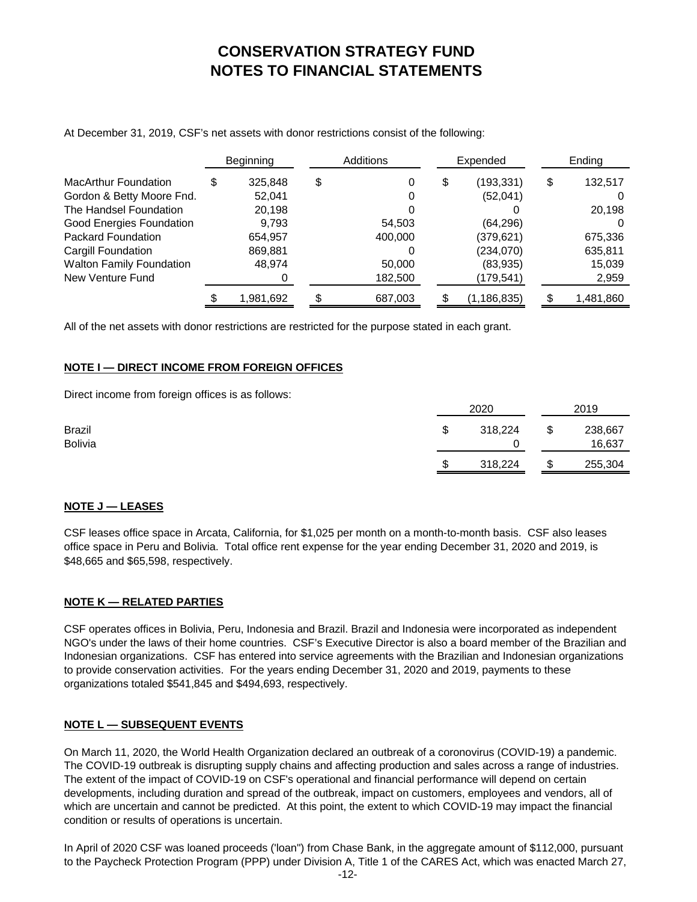|                                 |   | Beginning | Additions |    | Expended    |    | Ending    |
|---------------------------------|---|-----------|-----------|----|-------------|----|-----------|
| <b>MacArthur Foundation</b>     | S | 325,848   | \$        | \$ | (193, 331)  | \$ | 132,517   |
| Gordon & Betty Moore Fnd.       |   | 52,041    |           |    | (52,041)    |    |           |
| The Handsel Foundation          |   | 20.198    |           |    |             |    | 20,198    |
| Good Energies Foundation        |   | 9.793     | 54,503    |    | (64, 296)   |    |           |
| Packard Foundation              |   | 654,957   | 400,000   |    | (379,621)   |    | 675,336   |
| Cargill Foundation              |   | 869,881   |           |    | (234,070)   |    | 635,811   |
| <b>Walton Family Foundation</b> |   | 48.974    | 50,000    |    | (83, 935)   |    | 15,039    |
| New Venture Fund                |   |           | 182,500   |    | (179,541)   |    | 2,959     |
|                                 |   | 1,981,692 | 687,003   |    | (1,186,835) |    | 1,481,860 |

At December 31, 2019, CSF's net assets with donor restrictions consist of the following:

All of the net assets with donor restrictions are restricted for the purpose stated in each grant.

#### **NOTE I — DIRECT INCOME FROM FOREIGN OFFICES**

Direct income from foreign offices is as follows:

|                                 | 2020          |    |                   |
|---------------------------------|---------------|----|-------------------|
| <b>Brazil</b><br><b>Bolivia</b> | \$<br>318,224 | \$ | 238,667<br>16,637 |
|                                 | \$<br>318,224 | \$ | 255,304           |

### **NOTE J — LEASES**

CSF leases office space in Arcata, California, for \$1,025 per month on a month-to-month basis. CSF also leases office space in Peru and Bolivia. Total office rent expense for the year ending December 31, 2020 and 2019, is \$48,665 and \$65,598, respectively.

### **NOTE K — RELATED PARTIES**

CSF operates offices in Bolivia, Peru, Indonesia and Brazil. Brazil and Indonesia were incorporated as independent NGO's under the laws of their home countries. CSF's Executive Director is also a board member of the Brazilian and Indonesian organizations. CSF has entered into service agreements with the Brazilian and Indonesian organizations to provide conservation activities. For the years ending December 31, 2020 and 2019, payments to these organizations totaled \$541,845 and \$494,693, respectively.

#### **NOTE L — SUBSEQUENT EVENTS**

On March 11, 2020, the World Health Organization declared an outbreak of a coronovirus (COVID-19) a pandemic. The COVID-19 outbreak is disrupting supply chains and affecting production and sales across a range of industries. The extent of the impact of COVID-19 on CSF's operational and financial performance will depend on certain developments, including duration and spread of the outbreak, impact on customers, employees and vendors, all of which are uncertain and cannot be predicted. At this point, the extent to which COVID-19 may impact the financial condition or results of operations is uncertain.

In April of 2020 CSF was loaned proceeds ('loan") from Chase Bank, in the aggregate amount of \$112,000, pursuant to the Paycheck Protection Program (PPP) under Division A, Title 1 of the CARES Act, which was enacted March 27,